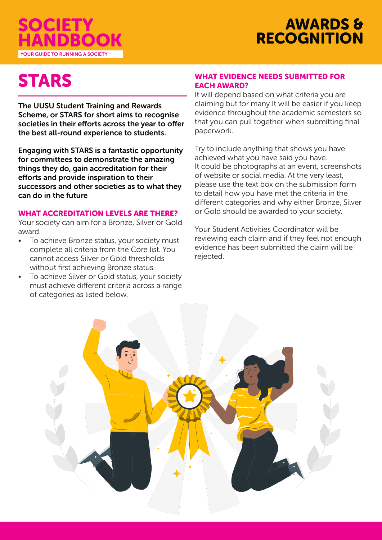



# **STARS**

The UUSU Student Training and Rewards Scheme, or STARS for short aims to recognise societies in their efforts across the year to offer the best all-round experience to students.

Engaging with STARS is a fantastic opportunity for committees to demonstrate the amazing things they do, gain accreditation for their efforts and provide inspiration to their successors and other societies as to what they can do in the future

#### WHAT ACCREDITATION LEVELS ARE THERE?

Your society can aim for a Bronze, Silver or Gold award.

- To achieve Bronze status, your society must complete all criteria from the Core list. You cannot access Silver or Gold thresholds without first achieving Bronze status.
- To achieve Silver or Gold status, your society must achieve different criteria across a range of categories as listed below.

#### WHAT EVIDENCE NEEDS SUBMITTED FOR EACH AWARD?

It will depend based on what criteria you are claiming but for many It will be easier if you keep evidence throughout the academic semesters so that you can pull together when submitting final paperwork.

Try to include anything that shows you have achieved what you have said you have. It could be photographs at an event, screenshots of website or social media. At the very least, please use the text box on the submission form to detail how you have met the criteria in the different categories and why either Bronze, Silver or Gold should be awarded to your society.

Your Student Activities Coordinator will be reviewing each claim and if they feel not enough evidence has been submitted the claim will be rejected.

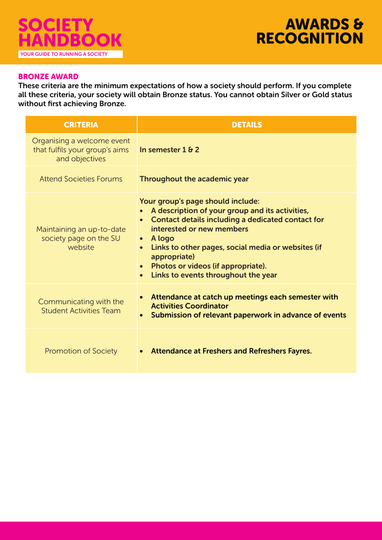

#### BRONZE AWARD

These criteria are the minimum expectations of how a society should perform. If you complete all these criteria, your society will obtain Bronze status. You cannot obtain Silver or Gold status without first achieving Bronze.

| <b>CRITERIA</b>                                                                | <b>DETAILS</b>                                                                                                                                                                                                                                                                                                                                                                                    |
|--------------------------------------------------------------------------------|---------------------------------------------------------------------------------------------------------------------------------------------------------------------------------------------------------------------------------------------------------------------------------------------------------------------------------------------------------------------------------------------------|
| Organising a welcome event<br>that fulfils your group's aims<br>and objectives | In semester $182$                                                                                                                                                                                                                                                                                                                                                                                 |
| <b>Attend Societies Forums</b>                                                 | Throughout the academic year                                                                                                                                                                                                                                                                                                                                                                      |
| Maintaining an up-to-date<br>society page on the SU<br>website                 | Your group's page should include:<br>A description of your group and its activities,<br>$\bullet$<br>Contact details including a dedicated contact for<br>interested or new members<br>$\bullet$ A logo<br>Links to other pages, social media or websites (if<br>$\bullet$<br>appropriate)<br>Photos or videos (if appropriate).<br>$\bullet$<br>Links to events throughout the year<br>$\bullet$ |
| Communicating with the<br><b>Student Activities Team</b>                       | Attendance at catch up meetings each semester with<br>$\bullet$<br><b>Activities Coordinator</b><br>Submission of relevant paperwork in advance of events<br>$\bullet$                                                                                                                                                                                                                            |
| <b>Promotion of Society</b>                                                    | <b>Attendance at Freshers and Refreshers Fayres.</b>                                                                                                                                                                                                                                                                                                                                              |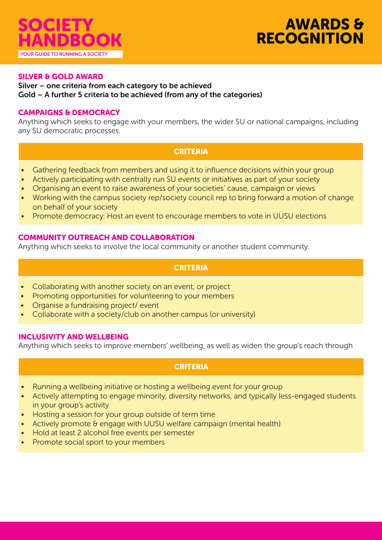

# AWARDS & **RECOGNITION**

#### SILVER & GOLD AWARD

#### Silver – one criteria from each category to be achieved Gold – A further 5 criteria to be achieved (from any of the categories)

#### CAMPAIGNS & DEMOCRACY

Anything which seeks to engage with your members, the wider SU or national campaigns, including any SU democratic processes.

## **CRITERIA**

- Gathering feedback from members and using it to influence decisions within your group
- Actively participating with centrally run SU events or initiatives as part of your society
- Organising an event to raise awareness of your societies' cause, campaign or views
- Working with the campus society rep/society council rep to bring forward a motion of change on behalf of your society
- Promote democracy: Host an event to encourage members to vote in UUSU elections

#### COMMUNITY OUTREACH AND COLLABORATION

Anything which seeks to involve the local community or another student community.

# **CRITERIA**

- Collaborating with another society on an event, or project
- Promoting opportunities for volunteering to your members
- Organise a fundraising project/ event
- Collaborate with a society/club on another campus (or university)

#### INCLUSIVITY AND WELLBEING

Anything which seeks to improve members' wellbeing, as well as widen the group's reach through

## CRITERIA

- Running a wellbeing initiative or hosting a wellbeing event for your group
- Actively attempting to engage minority, diversity networks, and typically less-engaged students in your group's activity
- Hosting a session for your group outside of term time
- Actively promote & engage with UUSU welfare campaign (mental health)
- Hold at least 2 alcohol free events per semester
- Promote social sport to your members